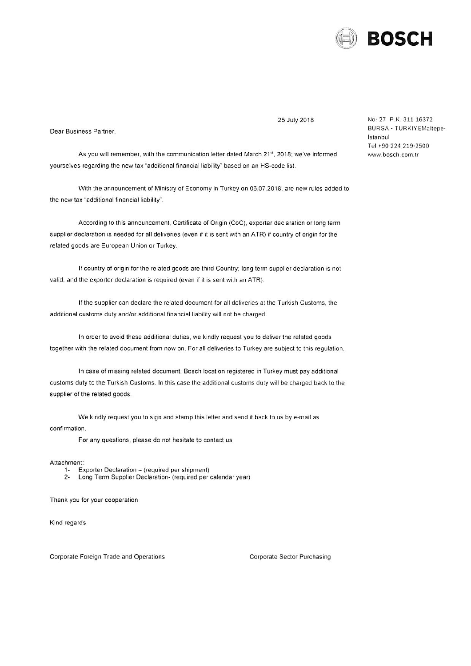

25 July 2018

Dear Business Partner,

As you will remember, with the communication letter dated March 21<sup>st</sup>, 2018; we've informed yourselves regarding the new tax "additional financial liability" based on an HS-code list.

With the announcement of Ministry of Economy in Turkey on 06.07.2018, are new rules added to the new tax "additional financial liability".

According to this announcement, Certificate of Origin (CoC), exporter declaration or long term supplier declaration is needed for all deliveries (even if it is sent with an ATR) if country of origin for the related goods are European Union or Turkey.

If country of origin for the related goods are third Country; long term supplier declaration is not valid, and the exporter declaration is required (even if it is sent with an ATR).

If the supplier can declare the related document for all deliveries at the Turkish Customs, the additional customs duty and/or additional financial liability will not be charged.

In order to avoid these additional duties, we kindly request you to deliver the related goods together with the related document from now on. For all deliveries to Turkey are subject to this regulation.

In case of missing related document, Bosch location registered in Turkey must pay additional customs duty to the Turkish Customs. In this case the additional customs duty will be charged back to the supplier of the related goods.

We kindly request you to sign and stamp this letter and send it back to us by e-mail as confirmation.

For any questions, please do not hesitate to contact us.

Attachment:

- Exporter Declaration (required per shipment)  $1 -$
- $2 -$ Long Term Supplier Declaration- (required per calendar year)

Thank you for your cooperation

Kind regards

Corporate Foreign Trade and Operations

Corporate Sector Purchasing

No: 27 P.K. 311 16372 BURSA - TURKIYEMaltepe-İstanbul Tel +90 224 219-2500 www.bosch.com.tr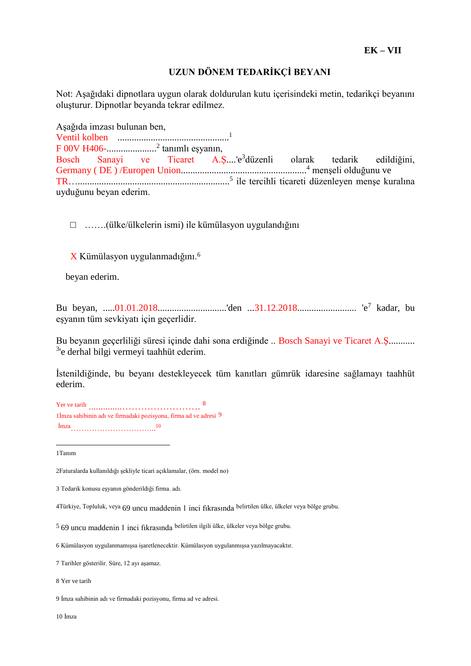## **UZUN DÖNEM TEDARİKÇİ BEYANI**

Not: Aşağıdaki dipnotlara uygun olarak doldurulan kutu içerisindeki metin, tedarikçi beyanını oluşturur. Dipnotlar beyanda tekrar edilmez.

Aşağıda imzası bulunan ben, Ventil kolben ............................................... 1 F 00V H406-..................... 2 tanımlı eşyanın, Bosch Sanayi ve Ticaret A.S....'e<sup>3</sup>düzenli olarak tedarik edildiğini, Germany ( DE ) /Europen Union..................................................... <sup>4</sup> menşeli olduğunu ve TR…................................................................ 5 ile tercihli ticareti düzenleyen menşe kuralına uyduğunu beyan ederim.

□ …….(ülke/ülkelerin ismi) ile kümülasyon uygulandığını

X Kümülasyon uygulanmadığını.<sup>6</sup>

beyan ederim.

Bu beyan, .....01.01.2018.............................'den ...31.12.2018......................... 'e<sup>7</sup> kadar, bu eşyanın tüm sevkiyatı için geçerlidir.

Bu beyanın geçerliliği süresi içinde dahi sona erdiğinde .. Bosch Sanayi ve Ticaret A.Ş........... <sup>3</sup>'e derhal bilgi vermeyi taahhüt ederim.

İstenildiğinde, bu beyanı destekleyecek tüm kanıtları gümrük idaresine sağlamayı taahhüt ederim.

Yer ve tarih ..............……………………. 8 1İmza sahibinin adı ve firmadaki pozisyonu, firma ad ve adresi 9 İmza…………………………... 10

1Tanım

 $\overline{a}$ 

2Faturalarda kullanıldığı şekliyle ticari açıklamalar, (örn. model no)

4Türkiye, Topluluk, veya 69 uncu maddenin 1 inci fıkrasında belirtilen ülke, ülkeler veya bölge grubu.

10 İmza

<sup>3</sup> Tedarik konusu eşyanın gönderildiği firma. adı.

<sup>5</sup> 69 uncu maddenin 1 inci fıkrasında belirtilen ilgili ülke, ülkeler veya bölge grubu.

<sup>6</sup> Kümülasyon uygulanmamışsa işaretlenecektir. Kümülasyon uygulanmışsa yazılmayacaktır.

<sup>7</sup> Tarihler gösterilir. Süre, 12 ayı aşamaz.

<sup>8</sup> Yer ve tarih

<sup>9</sup> İmza sahibinin adı ve firmadaki pozisyonu, firma ad ve adresi.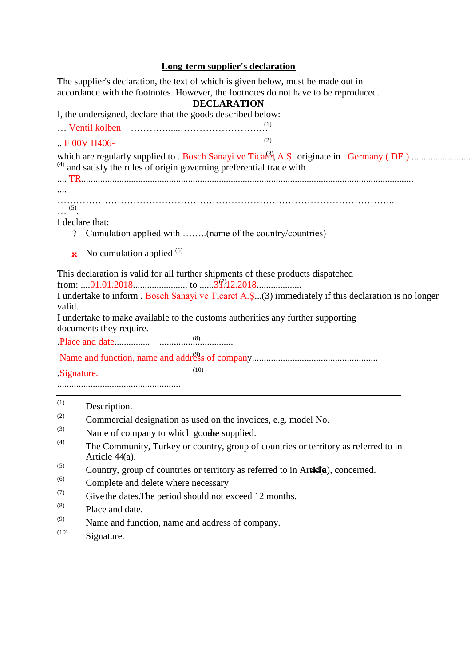## **Long-term supplier's declaration**

The supplier's declaration, the text of which is given below, must be made out in accordance with the footnotes. However, the footnotes do not have to be reproduced. **DECLARATION** I, the undersigned, declare that the goods described below: … Ventil kolben ………….....…………………….… (1) .. F 00V H406-  $(2)$ which are regularly supplied to . Bosch Sanayi ve Ticaret A.Ş (3) , originate in . Germany ( DE ) .........................  $^{(4)}$  and satisfy the rules of origin governing preferential trade with .... TR............................................................................................................................................ .... ……………………………………………………………………………………………..  $\ldots$  (5). I declare that: ? Cumulation applied with ……..(name of the country/countries) **x** No cumulation applied <sup>(6)</sup>

This declaration is valid for all further shipments of these products dispatched

from: ....01.01.2018....................... to ......31.12.2018................... (7) .

I undertake to inform . Bosch Sanayi ve Ticaret A.Ş...(3) immediately if this declaration is no longer valid.

I undertake to make available to the customs authorities any further supporting documents they require.

.Place and date............... ............................... ........ (8)

Name and function, name and address of company..................................................... (9)

.Signature.

....................................................

| (1) | Description. |
|-----|--------------|
|-----|--------------|

(2) Commercial designation as used on the invoices, e.g. model No.<br>(3)  $N_{\text{true}}$  of a summatic multiple and a munitiple

 $(10)$ 

- Name of company to which goodse supplied.
- (4) The Community, Turkey or country, group of countries or territory as referred to in Article 44(a).
- $^{(5)}$  Country, group of countries or territory as referred to in Article 4(a), concerned.
- (6) Complete and delete where necessary
- $(7)$  Give the dates. The period should not exceed 12 months.
- (8) Place and date.
- (9) Name and function, name and address of company.
- (10) Signature.